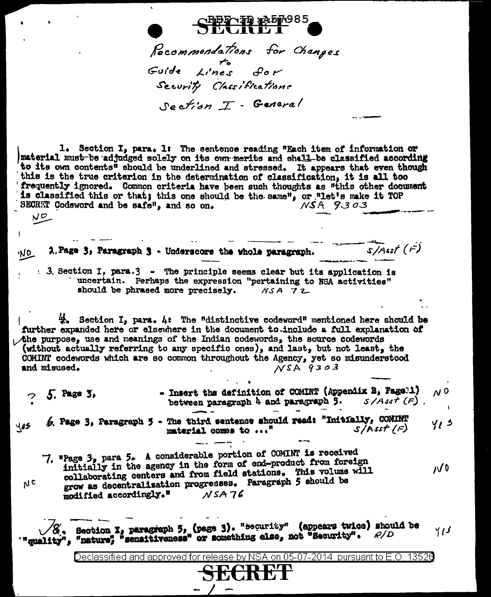Recommendations for Changes Forde Lines for Security Classifications Section I - General

1. Section I, para. 1: The sentence reading "Each item of information or material must be adjudged solely on its own merits and shall be classified according to its own contents<sup>s</sup> should be underlined and stressed. It appears that even though this is the true criterion in the determination of classification, it is all too frequently ignored. Common criteria have been such thoughts as "this other document is classified this or that; this one should be the same", or "let's make it TOP  $NSA9303$ SECRET Codeword and be safe", and so on.  $N^{\mathcal{O}}$ 

2. Page 3, Paragraph 3 - Underscore the whole paragraph. 'NQ : 3. Section I, para.3 - The principle seems clear but its application is

'uncertain. Perhaps the expression "pertaining to NSA activities" should be phrased more precisely.  $MSA 72$ 

 $\overline{s/4}$ sst ( $\overline{r}$ )

 $\frac{A}{A}$ . Section I, para. 4: The "distinctive codeword" mentioned here should be further expanded here or elsewhere in the document to include a full explanation of the purpose, use and meanings of the Indian codewords, the source codewords (without actually referring to any specific ones), and last, but not least, the COMINT codewords which are so common throughout the Agency, yet so misunderstood and misused.  $NSA9303$ 

- Insert the definition of COMINT (Appendix B, Page 1)  $N<sup>0</sup>$  $25.$  Page 3, between paragraph 4 and paragraph  $\overline{3}$ .  $S/As$ r (F).

 $6.$  Page 3, Paragraph 5 - The third sentence should read: "Initially, COMINT yį s yes  $S/\overline{A}$ sst  $(F)$ material comes to ..."

7. "Page 3, para 5. A considerable portion of COMINT is received initially in the agency in the form of end-product from foreign  $10<sub>0</sub>$ collaborating centers and from field stations. This volume will grow as decentralization progresses. Paragraph 5 should be modified accordingly."  $NSA76$ 

 $N<sub>c</sub>$ 

 $\sqrt{S}$ , Section I, paragraph 5, (page 3). "security" (appears twice) should be<br>'"quality", "nature", "sensitiveness" or something else, not "Security".  $\rho/D$ Y 1 S

> ISA on 05-07-2014 pursuant to E.O. 13526 Declassified and approved for release by I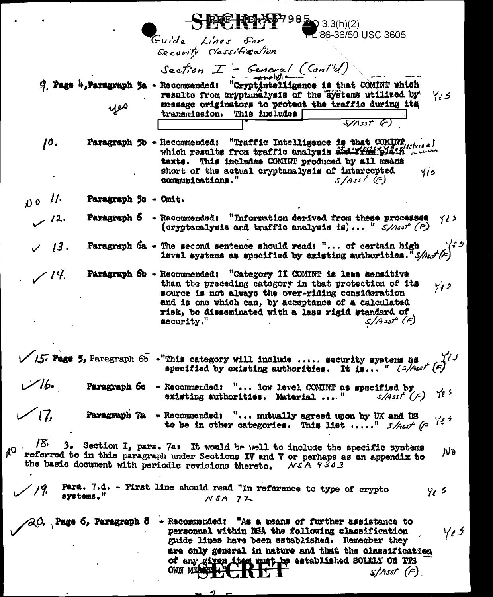|                                                                                                                                                                                                                                                                                                                                                        |                                               | 3.3(h)(2)<br>$-286-36/50$ USC 3605                                                                                                                                                                                                                                                                                                      |
|--------------------------------------------------------------------------------------------------------------------------------------------------------------------------------------------------------------------------------------------------------------------------------------------------------------------------------------------------------|-----------------------------------------------|-----------------------------------------------------------------------------------------------------------------------------------------------------------------------------------------------------------------------------------------------------------------------------------------------------------------------------------------|
|                                                                                                                                                                                                                                                                                                                                                        |                                               | $G$ uide<br>Lines for<br>Security Classification                                                                                                                                                                                                                                                                                        |
|                                                                                                                                                                                                                                                                                                                                                        |                                               | Section $I$ - General (Cont'd)                                                                                                                                                                                                                                                                                                          |
|                                                                                                                                                                                                                                                                                                                                                        | 9. Page 4, Paragraph 5a - Recommended:<br>yes | "Cryptintelligence is that COMINT which<br>results from cryptanalysis of the systems utilized by<br>$Y_i$ s<br>message originators to protect the traffic during its<br>transmission. This includes                                                                                                                                     |
|                                                                                                                                                                                                                                                                                                                                                        |                                               | $\sqrt{155t}$ (=)                                                                                                                                                                                                                                                                                                                       |
| 10.                                                                                                                                                                                                                                                                                                                                                    |                                               | Paragraph 50 - Recommended: "Traffic Intelligence is that COMINT,<br>which results from traffic analysis and ridinglain<br>texts. This includes COMINT produced by all means<br>short of the actual cryptanalysis of intercepted<br>415<br>communications."<br>$S/Assf$ (f)                                                             |
| $N^{\circ}$ //                                                                                                                                                                                                                                                                                                                                         | Paragraph 5s - Omit.                          |                                                                                                                                                                                                                                                                                                                                         |
| . 12 س                                                                                                                                                                                                                                                                                                                                                 | Paragraph 6                                   | - Recommended: "Information derived from these processes<br>イノン<br>(cryptanalysis and traffic analysis is) " $S/nsf(F)$                                                                                                                                                                                                                 |
| 13.                                                                                                                                                                                                                                                                                                                                                    |                                               | Paragraph 6a - The second sentence should read: " of certain high $\sqrt{\epsilon}$<br>level systems as specified by existing authorities. $S/Asf(z)$                                                                                                                                                                                   |
| $\sqrt{14}$ .                                                                                                                                                                                                                                                                                                                                          |                                               | Paragraph 6b - Recommended: "Category II COMINT is less sensitive<br>than the preceding category in that protection of its<br>ووبا<br>source is not always the over-riding consideration<br>and is one which can, by acceptance of a calculated<br>risk, be disseminated with a less rigid standard of<br>$S/A$ sst $(F)$<br>security." |
|                                                                                                                                                                                                                                                                                                                                                        |                                               | $\sqrt{157}$ Page 5, Paragraph 6b -"This category will include  security systems as<br>specified by existing authorities. It is " $\left(\frac{1}{2}\right)^{1/3}$                                                                                                                                                                      |
| فبمكاسس                                                                                                                                                                                                                                                                                                                                                |                                               | Paragraph 6c - Recommended: " low level COMINT as specified by<br>$s/4$ sst <sup>r</sup> $(F)$<br>existing authorities. Material  "                                                                                                                                                                                                     |
|                                                                                                                                                                                                                                                                                                                                                        |                                               | Paragraph 7a - Recommended: " mutually agreed upon by UK and US<br>425<br>to be in other categories. This list " $S/Assf$ (=                                                                                                                                                                                                            |
| $75$ . 3. Section I, para. 7a: It would be well to include the specific systems<br>$O_{k}$<br>ルっ<br>referred to in this paragraph under Sections IV and V or perhaps as an appendix to<br>the basic document with periodic revisions thereto.<br>NSA 9303                                                                                              |                                               |                                                                                                                                                                                                                                                                                                                                         |
| Para. 7.d. - First line should read "In reference to type of crypto<br>$y_{\ell}$ s<br>systems."<br>$NSA$ $72$                                                                                                                                                                                                                                         |                                               |                                                                                                                                                                                                                                                                                                                                         |
| $\angle$ 20. Page 6, Paragraph 8 - Recommended: "As a means of further assistance to<br>4,5<br>personnel within NSA the following classification<br>guide lines have been established. Remember they<br>are only general in nature and that the classification<br>of any given that must be established SOLELY ON ITS<br>OWN MEASURA<br>$S/Asst$ $(F)$ |                                               |                                                                                                                                                                                                                                                                                                                                         |

ø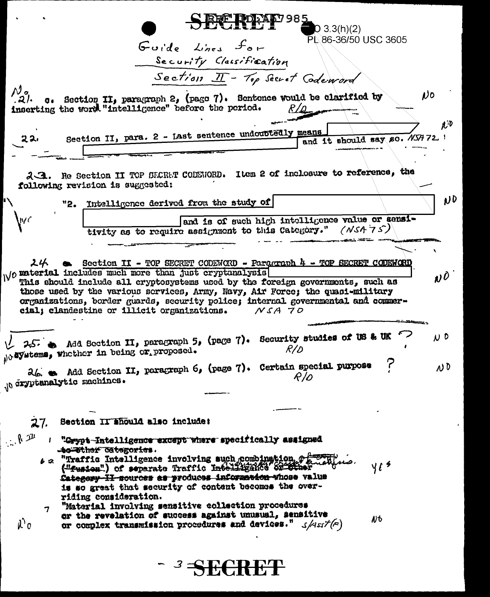**DE PORAF**Z98  $03.3(h)(2)$ PL 86-36/50 USC 3605 Guide Lines for Security Classification Section II - Top Secret Codeword  $\mathcal{N}$ c. Section II, paragraph 2, (page 7). Sentence would be clarified by No .21. inserting the word "intelligence" before the period. Section II, para. 2 - Last sentence undoubtedly means and it should say so. NSA 72 22, 2.3. Re Section II TOP SECRAT CODENORD. Item 2 of inclosure to reference, the following revision is suggested: ND "2. Intelligence derived from the study of and is of such high intelligence value or sensitivity as to require assignment to this Category." (NSA 75)  $24$   $\bullet$  Section II - TOP SECRET CODEWORD - Paragraph 4 - TOP SECRET CODEWORD We material includes much more than just cryptanalysis  $\mathbf{v}$ <sup> $\mathbf{v}$ </sup> This should include all cryptosystems used by the foreign governments, such as those used by the various services, Army, Navy, Air Force; the quasi-military organizations, border guards, security police; internal governmental and commercial; clandestine or illicit organizations.  $NSA$   $70$  $25.4$  and Section II, paragraph 5, (page 7). Security studies of US & UK  $\overline{v}$  D No Systems, whether in being or proposed.  $R/D$ 26. Add Section II, paragraph 6, (page 7). Certain special purpose ס נג  $R/O$ Jo cryptanalytic machines.  $27.$ Section II ahould also include:  $\mathbb{R}^n$ "Grypt-Intelligence except where specifically assigned to Tther Categories. 6 2 "Traffic Intelligence involving such combination, of the still  $41<sup>5</sup>$ Category II sources as produces information whose value is so great that security of content becomes the overriding consideration. "Material involving sensitive collection procedures  $\overline{7}$ or the revelation of success against unusual, sensitive NP  $\lambda$ <sup>o</sup> or complex transmission procedures and devices."  $\mathcal{A}ssf(r)$ 

- 3 SECRET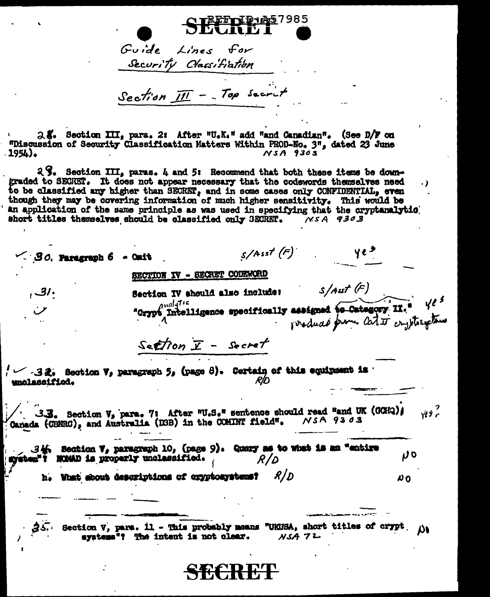SEERPES7985 Guide Lines for<br>Security Classifiation

Section  $\overline{III}$  - Top secrit

2.5. Section III, para. 2: After "U.K." add "and Canadian". (See D/F on "Discussion of Security Classification Matters Within PROD-No. 3", dated 23 June 1954).  $NSA$  9303

 $2\%$ . Section III, paras. 4 and 5: Recommend that both these items be downgraded to SECRET. It does not appear necessary that the codewords themselves need . ) to be classified any higher than SECRET, and in some cases only CONFIDENTIAL, even though they may be covering information of much higher sensitivity. This would be<br>an application of the same principle as was used in specifying that the cryptanalytic short titles themselves should be classified only SECRET. NSA 9303

 $s/Asst(F)$   $\gamma e^s$  $\leq$  30. Paragraph 6 - Ouit SECTION IV - SECRET CODEWORD  $s/$ Asst  $(F)$  $, 31.$ Section IV should also include: "Grypt Intelligence specifically assigned to Category II." Yes  $Setron \times - secret$  $f \sim -32$ . Section V, paragraph 5, (page 8). Certain of this equipment is the section of unclassified. 3.3. Section V, para. 7: After "U.S." sentence should read "and UK (GCHQ);  $\gamma$ Canada (CBNRC), and Australia (D3B) in the COMINT field". NSA 9303 34. Section V, paragraph 10, (page 9). Query as to what is an "entire ט ע system"? NOMAD is properly unclessified.  $R/D$ h. What shout descriptions of cryptosystems? R / D  $\boldsymbol{\mu}$  $35.$  Section V, para. 11 - This probably means "UKUSA, short titles of crypt.  $\mu$ systems"? The intent is not clear.  $NSA72$ <del>simer me</del>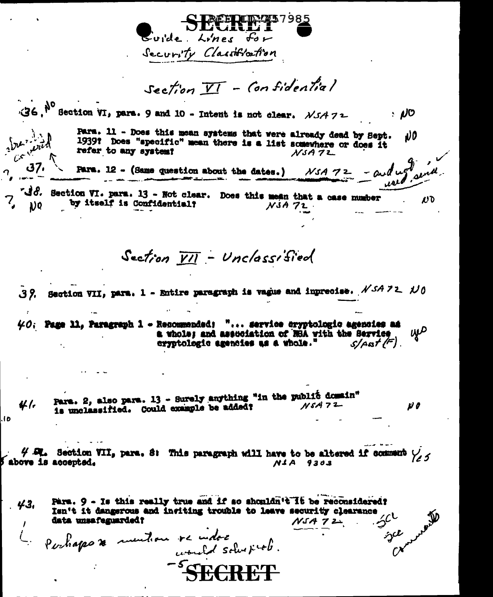**REFRED: 257985** Guide Lines for Security Classification Section  $\overline{VI}$  - Confidential  $36.$ <sup>No</sup> Section VI, para. 9 and 10 - Intent is not clear.  $NSA72$  $\cdot$  NO  $\sqrt{2\pi}$ Para. 11 - Does this mean systems that were already dead by Sept. υO 1939? Does "specific" mean there is a list somewhere or does it refer to any system?  $NSA72$ 37، Para. 12 - (Same question about the dates.)  $NSA 72 - \omega d \omega_1^2 \omega_2 d$ . "dd. Section VI. para. 13 - Not clear. Does this mean that a case number  $\boldsymbol{U}$ by itself is Confidential?  $\bf{1}$ ) $\bf{0}$  $NSA72$ Section VII - Unclassified 39. Section VII, para. 1 - Entire paragraph is vague and inprecise.  $NSA$  72.  $N0$  $40$ . Page 11, Paragraph 1 - Resonmended: "... service cryptologic agencies as wp a whole; and assuciation of NSA with the Service cryptologic agencies as a whole."  $S/AB/(F)$ Para. 2, also para. 13 - Surely anything "in the public domain" H 1.  $NSA72$ is unclassified. Could example be added? v o l b  $4$   $\alpha$ . Section VII, para, 8: This paragraph will have to be altered if comment  $\gamma_{2,5}$ shove is accepted.  $NIA$  9303 Para. 9 - Is this really true and if so shouldn't It be reconsidered?  $43.$ Isn't it dangerous and insiting trouble to leave security clearance data unsafeguarded?  $NSAZ2$ Le partiappe de mention ve indoe  $\hat{\gamma}^{\mathcal{L}}$ -SCRCDI